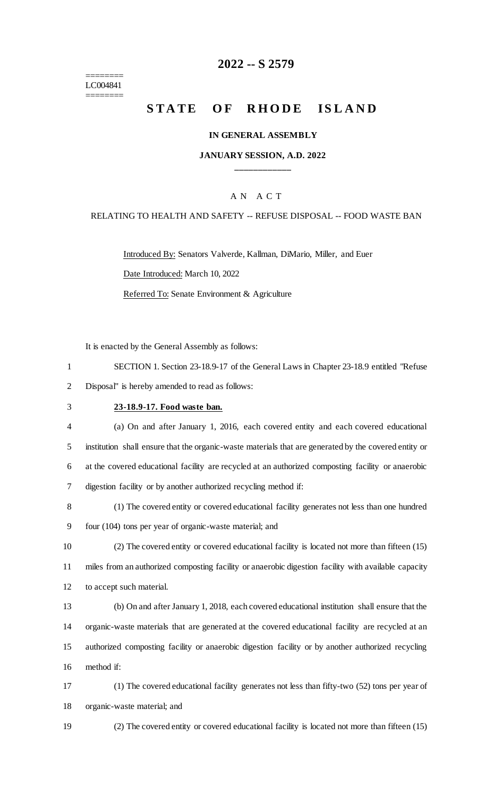======== LC004841 ========

# **-- S 2579**

# **STATE OF RHODE ISLAND**

### **IN GENERAL ASSEMBLY**

# **JANUARY SESSION, A.D. 2022 \_\_\_\_\_\_\_\_\_\_\_\_**

# A N A C T

#### RELATING TO HEALTH AND SAFETY -- REFUSE DISPOSAL -- FOOD WASTE BAN

Introduced By: Senators Valverde, Kallman, DiMario, Miller, and Euer Date Introduced: March 10, 2022

Referred To: Senate Environment & Agriculture

It is enacted by the General Assembly as follows:

| SECTION 1. Section 23-18.9-17 of the General Laws in Chapter 23-18.9 entitled "Refuse" |
|----------------------------------------------------------------------------------------|
| Disposal" is hereby amended to read as follows:                                        |

# **23-18.9-17. Food waste ban.**

| $\overline{4}$ | (a) On and after January 1, 2016, each covered entity and each covered educational                    |
|----------------|-------------------------------------------------------------------------------------------------------|
| 5              | institution shall ensure that the organic-waste materials that are generated by the covered entity or |
| 6              | at the covered educational facility are recycled at an authorized composting facility or anaerobic    |
|                | digestion facility or by another authorized recycling method if:                                      |

 (1) The covered entity or covered educational facility generates not less than one hundred four (104) tons per year of organic-waste material; and

 (2) The covered entity or covered educational facility is located not more than fifteen (15) miles from an authorized composting facility or anaerobic digestion facility with available capacity to accept such material.

 (b) On and after January 1, 2018, each covered educational institution shall ensure that the organic-waste materials that are generated at the covered educational facility are recycled at an authorized composting facility or anaerobic digestion facility or by another authorized recycling method if:

 (1) The covered educational facility generates not less than fifty-two (52) tons per year of organic-waste material; and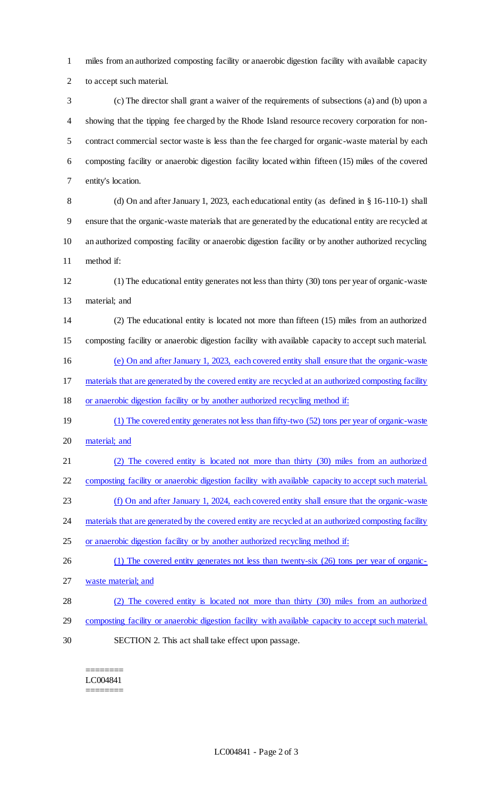miles from an authorized composting facility or anaerobic digestion facility with available capacity to accept such material.

 (c) The director shall grant a waiver of the requirements of subsections (a) and (b) upon a showing that the tipping fee charged by the Rhode Island resource recovery corporation for non- contract commercial sector waste is less than the fee charged for organic-waste material by each composting facility or anaerobic digestion facility located within fifteen (15) miles of the covered entity's location.

 (d) On and after January 1, 2023, each educational entity (as defined in § 16-110-1) shall ensure that the organic-waste materials that are generated by the educational entity are recycled at an authorized composting facility or anaerobic digestion facility or by another authorized recycling method if:

 (1) The educational entity generates not less than thirty (30) tons per year of organic-waste material; and

 (2) The educational entity is located not more than fifteen (15) miles from an authorized composting facility or anaerobic digestion facility with available capacity to accept such material.

(e) On and after January 1, 2023, each covered entity shall ensure that the organic-waste

materials that are generated by the covered entity are recycled at an authorized composting facility

- or anaerobic digestion facility or by another authorized recycling method if:
- (1) The covered entity generates not less than fifty-two (52) tons per year of organic-waste material; and
- (2) The covered entity is located not more than thirty (30) miles from an authorized
- composting facility or anaerobic digestion facility with available capacity to accept such material.
- (f) On and after January 1, 2024, each covered entity shall ensure that the organic-waste

24 materials that are generated by the covered entity are recycled at an authorized composting facility

- or anaerobic digestion facility or by another authorized recycling method if:
- 26 (1) The covered entity generates not less than twenty-six (26) tons per year of organic-waste material; and
- (2) The covered entity is located not more than thirty (30) miles from an authorized composting facility or anaerobic digestion facility with available capacity to accept such material. SECTION 2. This act shall take effect upon passage.
	- ======== LC004841

========